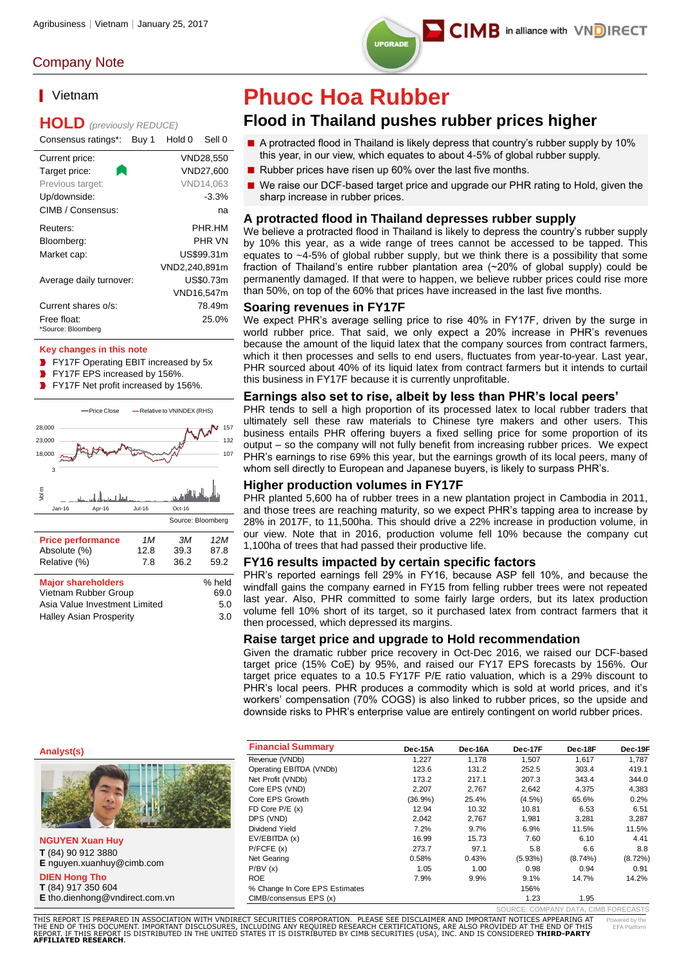## Company Note

## ■ Vietnam

## **HOLD** *(previously REDUCE)*

| Consensus ratings*:     | Buy 1 | Hold 0        | Sell 0     |
|-------------------------|-------|---------------|------------|
| Current price:          |       |               | VND28,550  |
| Target price:           |       |               | VND27.600  |
| Previous target:        |       |               | VND14.063  |
| Up/downside:            |       |               | $-3.3%$    |
| CIMB / Consensus:       |       |               | na         |
| Reuters:                |       |               | PHR HM     |
| Bloomberg:              |       |               | PHR VN     |
| Market cap:             |       |               | US\$99.31m |
|                         |       | VND2,240,891m |            |
| Average daily turnover: |       |               | US\$0.73m  |
|                         |       |               | VND16,547m |
| Current shares o/s:     |       |               | 78.49m     |
| Free float:             |       |               | 25.0%      |
| *Source: Bloomberg      |       |               |            |

### **Key changes in this note**

**FY17F Operating EBIT increased by 5x** 

- **FY17F EPS increased by 156%.**
- **FY17F Net profit increased by 156%.**



Asia Value Investment Limited 5.0 Halley Asian Prosperity 3.0

## **Phuoc Hoa Rubber**

## **Flood in Thailand pushes rubber prices higher**

- A protracted flood in Thailand is likely depress that country's rubber supply by 10% this year, in our view, which equates to about 4-5% of global rubber supply.
- Rubber prices have risen up 60% over the last five months.
- We raise our DCF-based target price and upgrade our PHR rating to Hold, given the sharp increase in rubber prices.

## **A protracted flood in Thailand depresses rubber supply**

We believe a protracted flood in Thailand is likely to depress the country's rubber supply by 10% this year, as a wide range of trees cannot be accessed to be tapped. This equates to ~4-5% of global rubber supply, but we think there is a possibility that some fraction of Thailand's entire rubber plantation area (~20% of global supply) could be permanently damaged. If that were to happen, we believe rubber prices could rise more than 50%, on top of the 60% that prices have increased in the last five months.

### **Soaring revenues in FY17F**

We expect PHR's average selling price to rise 40% in FY17F, driven by the surge in world rubber price. That said, we only expect a 20% increase in PHR's revenues because the amount of the liquid latex that the company sources from contract farmers, which it then processes and sells to end users, fluctuates from year-to-year. Last year, PHR sourced about 40% of its liquid latex from contract farmers but it intends to curtail this business in FY17F because it is currently unprofitable.

### **Earnings also set to rise, albeit by less than PHR's local peers'**

PHR tends to sell a high proportion of its processed latex to local rubber traders that ultimately sell these raw materials to Chinese tyre makers and other users. This business entails PHR offering buyers a fixed selling price for some proportion of its output – so the company will not fully benefit from increasing rubber prices. We expect PHR's earnings to rise 69% this year, but the earnings growth of its local peers, many of whom sell directly to European and Japanese buyers, is likely to surpass PHR's.

## **Higher production volumes in FY17F**

PHR planted 5,600 ha of rubber trees in a new plantation project in Cambodia in 2011, and those trees are reaching maturity, so we expect PHR's tapping area to increase by 28% in 2017F, to 11,500ha. This should drive a 22% increase in production volume, in our view. Note that in 2016, production volume fell 10% because the company cut 1,100ha of trees that had passed their productive life.

### **FY16 results impacted by certain specific factors**

PHR's reported earnings fell 29% in FY16, because ASP fell 10%, and because the windfall gains the company earned in FY15 from felling rubber trees were not repeated last year. Also, PHR committed to some fairly large orders, but its latex production volume fell 10% short of its target, so it purchased latex from contract farmers that it then processed, which depressed its margins.

### **Raise target price and upgrade to Hold recommendation**

Given the dramatic rubber price recovery in Oct-Dec 2016, we raised our DCF-based target price (15% CoE) by 95%, and raised our FY17 EPS forecasts by 156%. Our target price equates to a 10.5 FY17F P/E ratio valuation, which is a 29% discount to PHR's local peers. PHR produces a commodity which is sold at world prices, and it's workers' compensation (70% COGS) is also linked to rubber prices, so the upside and downside risks to PHR's enterprise value are entirely contingent on world rubber prices.

| <b>Financial Summary</b>       | Dec-15A | Dec-16A | Dec-17F                              | Dec-18F    | Dec-19F    |
|--------------------------------|---------|---------|--------------------------------------|------------|------------|
| Revenue (VNDb)                 | 1.227   | 1,178   | 1,507                                | 1.617      | 1,787      |
| Operating EBITDA (VNDb)        | 123.6   | 131.2   | 252.5                                | 303.4      | 419.1      |
| Net Profit (VNDb)              | 173.2   | 217.1   | 207.3                                | 343.4      | 344.0      |
| Core EPS (VND)                 | 2.207   | 2.767   | 2.642                                | 4.375      | 4,383      |
| Core EPS Growth                | (36.9%) | 25.4%   | $(4.5\%)$                            | 65.6%      | 0.2%       |
| FD Core $P/E(x)$               | 12.94   | 10.32   | 10.81                                | 6.53       | 6.51       |
| DPS (VND)                      | 2.042   | 2.767   | 1.981                                | 3.281      | 3.287      |
| Dividend Yield                 | 7.2%    | 9.7%    | 6.9%                                 | 11.5%      | 11.5%      |
| EV/EBITDA (x)                  | 16.99   | 15.73   | 7.60                                 | 6.10       | 4.41       |
| P/FCFE(x)                      | 273.7   | 97.1    | 5.8                                  | 6.6        | 8.8        |
| Net Gearing                    | 0.58%   | 0.43%   | $(5.93\%)$                           | $(8.74\%)$ | $(8.72\%)$ |
| P/BV(x)                        | 1.05    | 1.00    | 0.98                                 | 0.94       | 0.91       |
| <b>ROE</b>                     | 7.9%    | 9.9%    | 9.1%                                 | 14.7%      | 14.2%      |
| % Change In Core EPS Estimates |         |         | 156%                                 |            |            |
| CIMB/consensus EPS (x)         |         |         | 1.23                                 | 1.95       |            |
|                                |         |         | SOURCE: COMPANY DATA, CIMB FORECASTS |            |            |

## **Analyst(s)**



**NGUYEN Xuan Huy T** (84) 90 912 3880 **E** nguyen.xuanhuy@cimb.com **DIEN Hong Tho T** (84) 917 350 604 **E** tho.dienhong@vndirect.com.vn

.<br>THIS REPORT IS PREPARED IN ASSOCIATION WITH VNDIRECT SECURITIES CORPORATION. PLEASE SEE DISCLAIMER AND IMPORTANT NOTICES APPEARING AT<br>THE END OF THIS DOCUMENT, IMPORTANT DISCLOSURES, INCLUDING ANY REQUIRED RESEARCH CERTI THE END OF THIS DOCUMENT. IMPORTANT DISCLOSURES, INCLUDING ANY REQUIRED RESEARCH CERTIFICATIONS, ARE ALSO PROVIDED AT THE END OF THIS<br>REPORT. IF THIS REPORT IS DISTRIBUTED IN THE UNITED STATES IT IS DISTRIBUTED BY CIMB SEC Powered by the EFA Platform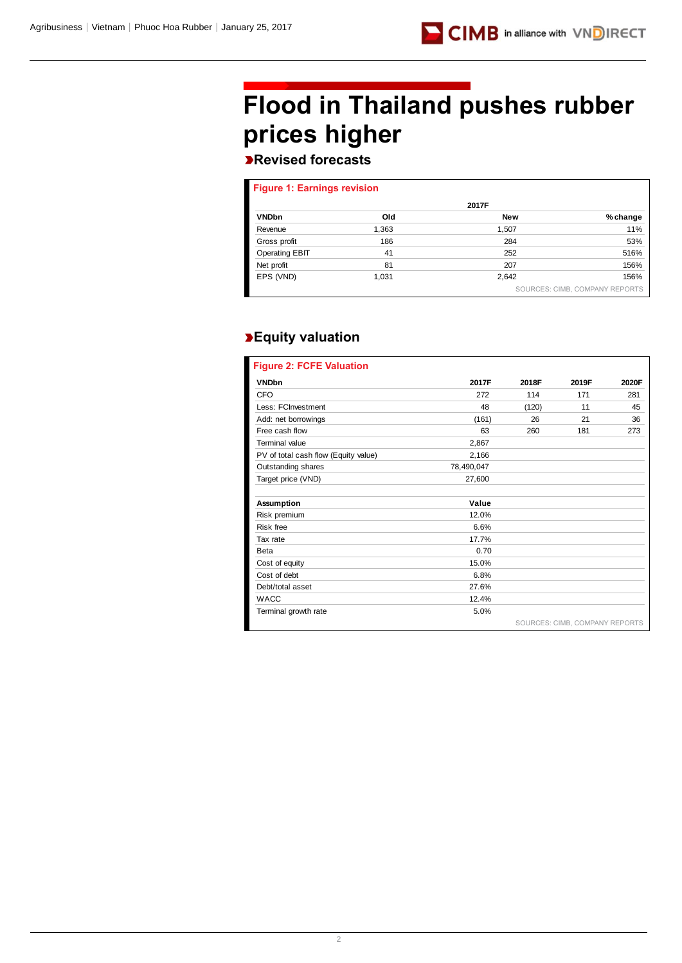# **Flood in Thailand pushes rubber prices higher**

## **Revised forecasts**

| <b>Figure 1: Earnings revision</b> |       |            |                                |
|------------------------------------|-------|------------|--------------------------------|
|                                    |       | 2017F      |                                |
| <b>VNDbn</b>                       | Old   | <b>New</b> | % change                       |
| Revenue                            | 1,363 | 1,507      | 11%                            |
| Gross profit                       | 186   | 284        | 53%                            |
| <b>Operating EBIT</b>              | 41    | 252        | 516%                           |
| Net profit                         | 81    | 207        | 156%                           |
| EPS (VND)                          | 1,031 | 2,642      | 156%                           |
|                                    |       |            | SOURCES: CIMB, COMPANY REPORTS |

## **Equity valuation**

| <b>Figure 2: FCFE Valuation</b>      |            |       |                                |       |
|--------------------------------------|------------|-------|--------------------------------|-------|
| <b>VNDbn</b>                         | 2017F      | 2018F | 2019F                          | 2020F |
| CFO                                  | 272        | 114   | 171                            | 281   |
| Less: FCInvestment                   | 48         | (120) | 11                             | 45    |
| Add: net borrowings                  | (161)      | 26    | 21                             | 36    |
| Free cash flow                       | 63         | 260   | 181                            | 273   |
| Terminal value                       | 2,867      |       |                                |       |
| PV of total cash flow (Equity value) | 2,166      |       |                                |       |
| Outstanding shares                   | 78,490,047 |       |                                |       |
| Target price (VND)                   | 27,600     |       |                                |       |
|                                      |            |       |                                |       |
| <b>Assumption</b>                    | Value      |       |                                |       |
| Risk premium                         | 12.0%      |       |                                |       |
| <b>Risk free</b>                     | 6.6%       |       |                                |       |
| Tax rate                             | 17.7%      |       |                                |       |
| <b>Beta</b>                          | 0.70       |       |                                |       |
| Cost of equity                       | 15.0%      |       |                                |       |
| Cost of debt                         | 6.8%       |       |                                |       |
| Debt/total asset                     | 27.6%      |       |                                |       |
| <b>WACC</b>                          | 12.4%      |       |                                |       |
| Terminal growth rate                 | 5.0%       |       |                                |       |
|                                      |            |       | SOURCES: CIMB. COMPANY REPORTS |       |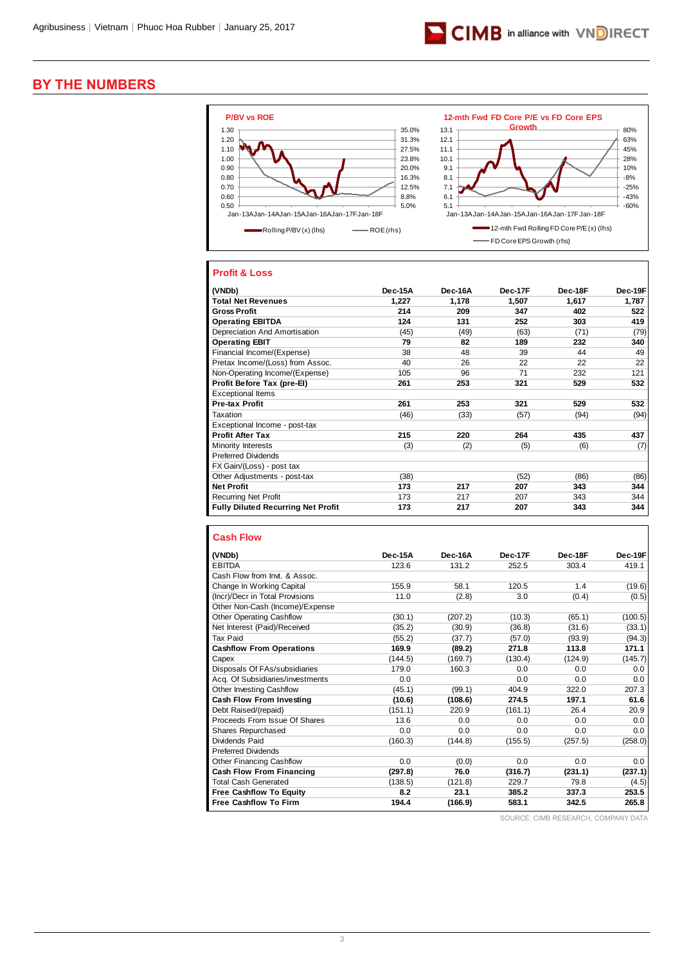

## **BY THE NUMBERS**



## **Profit & Loss**

| (VNDb)                                    | Dec-15A | Dec-16A | Dec-17F | Dec-18F | Dec-19F |
|-------------------------------------------|---------|---------|---------|---------|---------|
| <b>Total Net Revenues</b>                 | 1,227   | 1,178   | 1,507   | 1,617   | 1,787   |
| <b>Gross Profit</b>                       | 214     | 209     | 347     | 402     | 522     |
| <b>Operating EBITDA</b>                   | 124     | 131     | 252     | 303     | 419     |
| Depreciation And Amortisation             | (45)    | (49)    | (63)    | (71)    | (79)    |
| <b>Operating EBIT</b>                     | 79      | 82      | 189     | 232     | 340     |
| Financial Income/(Expense)                | 38      | 48      | 39      | 44      | 49      |
| Pretax Income/(Loss) from Assoc.          | 40      | 26      | 22      | 22      | 22      |
| Non-Operating Income/(Expense)            | 105     | 96      | 71      | 232     | 121     |
| Profit Before Tax (pre-EI)                | 261     | 253     | 321     | 529     | 532     |
| <b>Exceptional Items</b>                  |         |         |         |         |         |
| Pre-tax Profit                            | 261     | 253     | 321     | 529     | 532     |
| Taxation                                  | (46)    | (33)    | (57)    | (94)    | (94)    |
| Exceptional Income - post-tax             |         |         |         |         |         |
| <b>Profit After Tax</b>                   | 215     | 220     | 264     | 435     | 437     |
| Minority Interests                        | (3)     | (2)     | (5)     | (6)     | (7)     |
| <b>Preferred Dividends</b>                |         |         |         |         |         |
| FX Gain/(Loss) - post tax                 |         |         |         |         |         |
| Other Adjustments - post-tax              | (38)    |         | (52)    | (86)    | (86)    |
| <b>Net Profit</b>                         | 173     | 217     | 207     | 343     | 344     |
| <b>Recurring Net Profit</b>               | 173     | 217     | 207     | 343     | 344     |
| <b>Fully Diluted Recurring Net Profit</b> | 173     | 217     | 207     | 343     | 344     |

## **Cash Flow**

| (VNDb)                           | Dec-15A | Dec-16A | Dec-17F | Dec-18F | Dec-19F |
|----------------------------------|---------|---------|---------|---------|---------|
| <b>EBITDA</b>                    | 123.6   | 131.2   | 252.5   | 303.4   | 419.1   |
| Cash Flow from Invt. & Assoc.    |         |         |         |         |         |
| Change In Working Capital        | 155.9   | 58.1    | 120.5   | 1.4     | (19.6)  |
| (Incr)/Decr in Total Provisions  | 11.0    | (2.8)   | 3.0     | (0.4)   | (0.5)   |
| Other Non-Cash (Income)/Expense  |         |         |         |         |         |
| <b>Other Operating Cashflow</b>  | (30.1)  | (207.2) | (10.3)  | (65.1)  | (100.5) |
| Net Interest (Paid)/Received     | (35.2)  | (30.9)  | (36.8)  | (31.6)  | (33.1)  |
| Tax Paid                         | (55.2)  | (37.7)  | (57.0)  | (93.9)  | (94.3)  |
| <b>Cashflow From Operations</b>  | 169.9   | (89.2)  | 271.8   | 113.8   | 171.1   |
| Capex                            | (144.5) | (169.7) | (130.4) | (124.9) | (145.7) |
| Disposals Of FAs/subsidiaries    | 179.0   | 160.3   | 0.0     | 0.0     | 0.0     |
| Acq. Of Subsidiaries/investments | 0.0     |         | 0.0     | 0.0     | 0.0     |
| Other Investing Cashflow         | (45.1)  | (99.1)  | 404.9   | 322.0   | 207.3   |
| <b>Cash Flow From Investing</b>  | (10.6)  | (108.6) | 274.5   | 197.1   | 61.6    |
| Debt Raised/(repaid)             | (151.1) | 220.9   | (161.1) | 26.4    | 20.9    |
| Proceeds From Issue Of Shares    | 13.6    | 0.0     | 0.0     | 0.0     | 0.0     |
| Shares Repurchased               | 0.0     | 0.0     | 0.0     | 0.0     | 0.0     |
| Dividends Paid                   | (160.3) | (144.8) | (155.5) | (257.5) | (258.0) |
| <b>Preferred Dividends</b>       |         |         |         |         |         |
| Other Financing Cashflow         | 0.0     | (0.0)   | 0.0     | 0.0     | 0.0     |
| <b>Cash Flow From Financing</b>  | (297.8) | 76.0    | (316.7) | (231.1) | (237.1) |
| Total Cash Generated             | (138.5) | (121.8) | 229.7   | 79.8    | (4.5)   |
| <b>Free Cashflow To Equity</b>   | 8.2     | 23.1    | 385.2   | 337.3   | 253.5   |
| <b>Free Cashflow To Firm</b>     | 194.4   | (166.9) | 583.1   | 342.5   | 265.8   |

SOURCE: CIMB RESEARCH, COMPANY DATA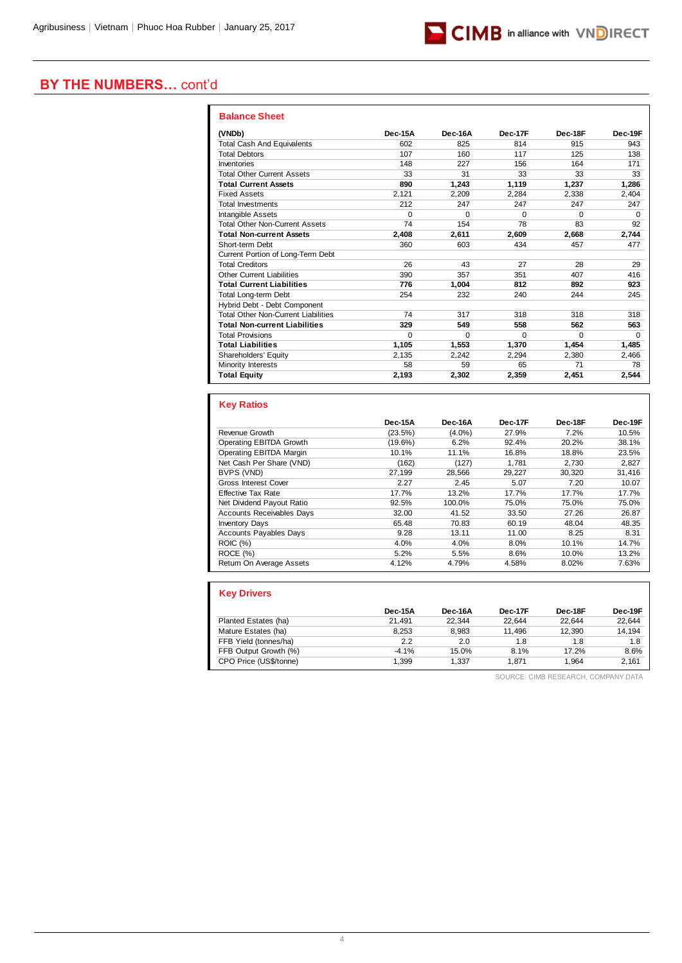

## **BY THE NUMBERS…** cont'd

| <b>Balance Sheet</b>                       |         |          |          |          |          |
|--------------------------------------------|---------|----------|----------|----------|----------|
| (VNDb)                                     | Dec-15A | Dec-16A  | Dec-17F  | Dec-18F  | Dec-19F  |
| <b>Total Cash And Equivalents</b>          | 602     | 825      | 814      | 915      | 943      |
| <b>Total Debtors</b>                       | 107     | 160      | 117      | 125      | 138      |
| Inventories                                | 148     | 227      | 156      | 164      | 171      |
| <b>Total Other Current Assets</b>          | 33      | 31       | 33       | 33       | 33       |
| <b>Total Current Assets</b>                | 890     | 1.243    | 1.119    | 1,237    | 1,286    |
| <b>Fixed Assets</b>                        | 2.121   | 2,209    | 2,284    | 2,338    | 2,404    |
| <b>Total Investments</b>                   | 212     | 247      | 247      | 247      | 247      |
| <b>Intangible Assets</b>                   | O       | $\Omega$ | $\Omega$ | $\Omega$ | $\Omega$ |
| <b>Total Other Non-Current Assets</b>      | 74      | 154      | 78       | 83       | 92       |
| <b>Total Non-current Assets</b>            | 2.408   | 2.611    | 2,609    | 2.668    | 2,744    |
| Short-term Debt                            | 360     | 603      | 434      | 457      | 477      |
| Current Portion of Long-Term Debt          |         |          |          |          |          |
| <b>Total Creditors</b>                     | 26      | 43       | 27       | 28       | 29       |
| Other Current Liabilities                  | 390     | 357      | 351      | 407      | 416      |
| <b>Total Current Liabilities</b>           | 776     | 1.004    | 812      | 892      | 923      |
| <b>Total Long-term Debt</b>                | 254     | 232      | 240      | 244      | 245      |
| Hybrid Debt - Debt Component               |         |          |          |          |          |
| <b>Total Other Non-Current Liabilities</b> | 74      | 317      | 318      | 318      | 318      |
| <b>Total Non-current Liabilities</b>       | 329     | 549      | 558      | 562      | 563      |
| <b>Total Provisions</b>                    | 0       | $\Omega$ | $\Omega$ | $\Omega$ | $\Omega$ |
| <b>Total Liabilities</b>                   | 1.105   | 1,553    | 1.370    | 1.454    | 1.485    |
| Shareholders' Equity                       | 2,135   | 2,242    | 2,294    | 2,380    | 2,466    |
| Minority Interests                         | 58      | 59       | 65       | 71       | 78       |
| <b>Total Equity</b>                        | 2,193   | 2,302    | 2,359    | 2,451    | 2,544    |

## **Key Ratios**

|                                  | Dec-15A    | Dec-16A   | Dec-17F | Dec-18F | Dec-19F |
|----------------------------------|------------|-----------|---------|---------|---------|
| Revenue Growth                   | (23.5%)    | $(4.0\%)$ | 27.9%   | 7.2%    | 10.5%   |
| Operating EBITDA Growth          | $(19.6\%)$ | 6.2%      | 92.4%   | 20.2%   | 38.1%   |
| Operating EBITDA Margin          | 10.1%      | 11.1%     | 16.8%   | 18.8%   | 23.5%   |
| Net Cash Per Share (VND)         | (162)      | (127)     | 1.781   | 2.730   | 2.827   |
| BVPS (VND)                       | 27.199     | 28,566    | 29.227  | 30.320  | 31,416  |
| Gross Interest Cover             | 2.27       | 2.45      | 5.07    | 7.20    | 10.07   |
| <b>Effective Tax Rate</b>        | 17.7%      | 13.2%     | 17.7%   | 17.7%   | 17.7%   |
| Net Dividend Payout Ratio        | 92.5%      | 100.0%    | 75.0%   | 75.0%   | 75.0%   |
| <b>Accounts Receivables Days</b> | 32.00      | 41.52     | 33.50   | 27.26   | 26.87   |
| <b>Inventory Days</b>            | 65.48      | 70.83     | 60.19   | 48.04   | 48.35   |
| <b>Accounts Payables Days</b>    | 9.28       | 13.11     | 11.00   | 8.25    | 8.31    |
| <b>ROIC</b> (%)                  | 4.0%       | 4.0%      | 8.0%    | 10.1%   | 14.7%   |
| ROCE (%)                         | 5.2%       | 5.5%      | 8.6%    | 10.0%   | 13.2%   |
| Return On Average Assets         | 4.12%      | 4.79%     | 4.58%   | 8.02%   | 7.63%   |

| <b>Key Drivers</b>     |         |         |         |         |         |
|------------------------|---------|---------|---------|---------|---------|
|                        | Dec-15A | Dec-16A | Dec-17F | Dec-18F | Dec-19F |
| Planted Estates (ha)   | 21.491  | 22.344  | 22.644  | 22.644  | 22.644  |
| Mature Estates (ha)    | 8.253   | 8.983   | 11.496  | 12.390  | 14,194  |
| FFB Yield (tonnes/ha)  | 2.2     | 2.0     | 1.8     | 1.8     | 1.8     |
| FFB Output Growth (%)  | $-4.1%$ | 15.0%   | 8.1%    | 17.2%   | 8.6%    |
| CPO Price (US\$/tonne) | 1.399   | 1.337   | 1.871   | 1.964   | 2.161   |

SOURCE: CIMB RESEARCH, COMPANY DATA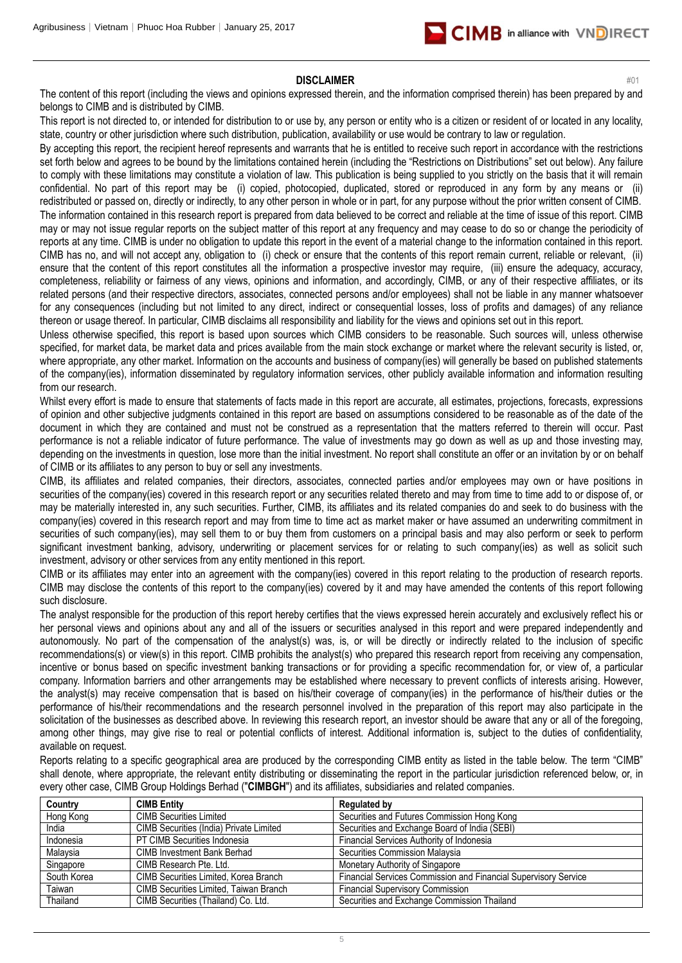

#### **DISCLAIMER** #01

The content of this report (including the views and opinions expressed therein, and the information comprised therein) has been prepared by and belongs to CIMB and is distributed by CIMB.

This report is not directed to, or intended for distribution to or use by, any person or entity who is a citizen or resident of or located in any locality, state, country or other jurisdiction where such distribution, publication, availability or use would be contrary to law or regulation.

By accepting this report, the recipient hereof represents and warrants that he is entitled to receive such report in accordance with the restrictions set forth below and agrees to be bound by the limitations contained herein (including the "Restrictions on Distributions" set out below). Any failure to comply with these limitations may constitute a violation of law. This publication is being supplied to you strictly on the basis that it will remain confidential. No part of this report may be (i) copied, photocopied, duplicated, stored or reproduced in any form by any means or (ii) redistributed or passed on, directly or indirectly, to any other person in whole or in part, for any purpose without the prior written consent of CIMB. The information contained in this research report is prepared from data believed to be correct and reliable at the time of issue of this report. CIMB may or may not issue regular reports on the subject matter of this report at any frequency and may cease to do so or change the periodicity of reports at any time. CIMB is under no obligation to update this report in the event of a material change to the information contained in this report. CIMB has no, and will not accept any, obligation to (i) check or ensure that the contents of this report remain current, reliable or relevant, (ii) ensure that the content of this report constitutes all the information a prospective investor may require, (iii) ensure the adequacy, accuracy, completeness, reliability or fairness of any views, opinions and information, and accordingly, CIMB, or any of their respective affiliates, or its related persons (and their respective directors, associates, connected persons and/or employees) shall not be liable in any manner whatsoever for any consequences (including but not limited to any direct, indirect or consequential losses, loss of profits and damages) of any reliance thereon or usage thereof. In particular, CIMB disclaims all responsibility and liability for the views and opinions set out in this report.

Unless otherwise specified, this report is based upon sources which CIMB considers to be reasonable. Such sources will, unless otherwise specified, for market data, be market data and prices available from the main stock exchange or market where the relevant security is listed, or, where appropriate, any other market. Information on the accounts and business of company(ies) will generally be based on published statements of the company(ies), information disseminated by regulatory information services, other publicly available information and information resulting from our research.

Whilst every effort is made to ensure that statements of facts made in this report are accurate, all estimates, projections, forecasts, expressions of opinion and other subjective judgments contained in this report are based on assumptions considered to be reasonable as of the date of the document in which they are contained and must not be construed as a representation that the matters referred to therein will occur. Past performance is not a reliable indicator of future performance. The value of investments may go down as well as up and those investing may, depending on the investments in question, lose more than the initial investment. No report shall constitute an offer or an invitation by or on behalf of CIMB or its affiliates to any person to buy or sell any investments.

CIMB, its affiliates and related companies, their directors, associates, connected parties and/or employees may own or have positions in securities of the company(ies) covered in this research report or any securities related thereto and may from time to time add to or dispose of, or may be materially interested in, any such securities. Further, CIMB, its affiliates and its related companies do and seek to do business with the company(ies) covered in this research report and may from time to time act as market maker or have assumed an underwriting commitment in securities of such company(ies), may sell them to or buy them from customers on a principal basis and may also perform or seek to perform significant investment banking, advisory, underwriting or placement services for or relating to such company(ies) as well as solicit such investment, advisory or other services from any entity mentioned in this report.

CIMB or its affiliates may enter into an agreement with the company(ies) covered in this report relating to the production of research reports. CIMB may disclose the contents of this report to the company(ies) covered by it and may have amended the contents of this report following such disclosure.

The analyst responsible for the production of this report hereby certifies that the views expressed herein accurately and exclusively reflect his or her personal views and opinions about any and all of the issuers or securities analysed in this report and were prepared independently and autonomously. No part of the compensation of the analyst(s) was, is, or will be directly or indirectly related to the inclusion of specific recommendations(s) or view(s) in this report. CIMB prohibits the analyst(s) who prepared this research report from receiving any compensation, incentive or bonus based on specific investment banking transactions or for providing a specific recommendation for, or view of, a particular company. Information barriers and other arrangements may be established where necessary to prevent conflicts of interests arising. However, the analyst(s) may receive compensation that is based on his/their coverage of company(ies) in the performance of his/their duties or the performance of his/their recommendations and the research personnel involved in the preparation of this report may also participate in the solicitation of the businesses as described above. In reviewing this research report, an investor should be aware that any or all of the foregoing, among other things, may give rise to real or potential conflicts of interest. Additional information is, subject to the duties of confidentiality, available on request.

Reports relating to a specific geographical area are produced by the corresponding CIMB entity as listed in the table below. The term "CIMB" shall denote, where appropriate, the relevant entity distributing or disseminating the report in the particular jurisdiction referenced below, or, in every other case, CIMB Group Holdings Berhad ("**CIMBGH**") and its affiliates, subsidiaries and related companies.

| Country     | <b>CIMB Entity</b>                      | <b>Regulated by</b>                                             |
|-------------|-----------------------------------------|-----------------------------------------------------------------|
| Hong Kong   | <b>CIMB Securities Limited</b>          | Securities and Futures Commission Hong Kong                     |
| India       | CIMB Securities (India) Private Limited | Securities and Exchange Board of India (SEBI)                   |
| Indonesia   | PT CIMB Securities Indonesia            | Financial Services Authority of Indonesia                       |
| Malaysia    | <b>CIMB Investment Bank Berhad</b>      | Securities Commission Malaysia                                  |
| Singapore   | CIMB Research Pte. Ltd.                 | Monetary Authority of Singapore                                 |
| South Korea | CIMB Securities Limited, Korea Branch   | Financial Services Commission and Financial Supervisory Service |
| Taiwan      | CIMB Securities Limited, Taiwan Branch  | <b>Financial Supervisory Commission</b>                         |
| Thailand    | CIMB Securities (Thailand) Co. Ltd.     | Securities and Exchange Commission Thailand                     |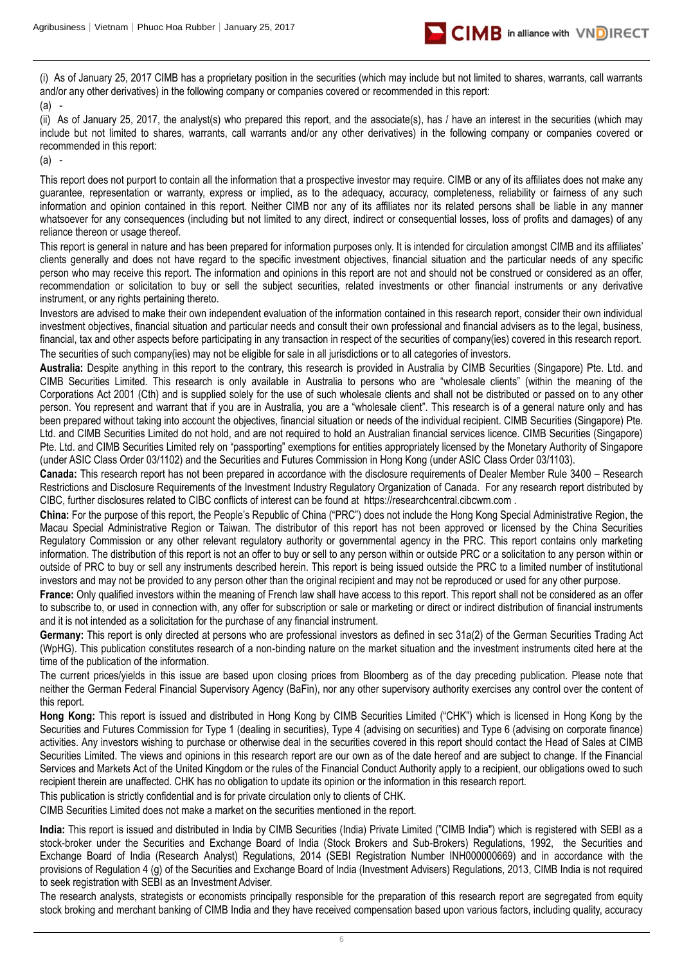

(i) As of January 25, 2017 CIMB has a proprietary position in the securities (which may include but not limited to shares, warrants, call warrants and/or any other derivatives) in the following company or companies covered or recommended in this report:

(a) -

(ii) As of January 25, 2017, the analyst(s) who prepared this report, and the associate(s), has / have an interest in the securities (which may include but not limited to shares, warrants, call warrants and/or any other derivatives) in the following company or companies covered or recommended in this report:

(a) -

This report does not purport to contain all the information that a prospective investor may require. CIMB or any of its affiliates does not make any guarantee, representation or warranty, express or implied, as to the adequacy, accuracy, completeness, reliability or fairness of any such information and opinion contained in this report. Neither CIMB nor any of its affiliates nor its related persons shall be liable in any manner whatsoever for any consequences (including but not limited to any direct, indirect or consequential losses, loss of profits and damages) of any reliance thereon or usage thereof.

This report is general in nature and has been prepared for information purposes only. It is intended for circulation amongst CIMB and its affiliates' clients generally and does not have regard to the specific investment objectives, financial situation and the particular needs of any specific person who may receive this report. The information and opinions in this report are not and should not be construed or considered as an offer, recommendation or solicitation to buy or sell the subject securities, related investments or other financial instruments or any derivative instrument, or any rights pertaining thereto.

Investors are advised to make their own independent evaluation of the information contained in this research report, consider their own individual investment objectives, financial situation and particular needs and consult their own professional and financial advisers as to the legal, business, financial, tax and other aspects before participating in any transaction in respect of the securities of company(ies) covered in this research report. The securities of such company(ies) may not be eligible for sale in all jurisdictions or to all categories of investors.

**Australia:** Despite anything in this report to the contrary, this research is provided in Australia by CIMB Securities (Singapore) Pte. Ltd. and CIMB Securities Limited. This research is only available in Australia to persons who are "wholesale clients" (within the meaning of the Corporations Act 2001 (Cth) and is supplied solely for the use of such wholesale clients and shall not be distributed or passed on to any other person. You represent and warrant that if you are in Australia, you are a "wholesale client". This research is of a general nature only and has been prepared without taking into account the objectives, financial situation or needs of the individual recipient. CIMB Securities (Singapore) Pte. Ltd. and CIMB Securities Limited do not hold, and are not required to hold an Australian financial services licence. CIMB Securities (Singapore) Pte. Ltd. and CIMB Securities Limited rely on "passporting" exemptions for entities appropriately licensed by the Monetary Authority of Singapore (under ASIC Class Order 03/1102) and the Securities and Futures Commission in Hong Kong (under ASIC Class Order 03/1103).

**Canada:** This research report has not been prepared in accordance with the disclosure requirements of Dealer Member Rule 3400 – Research Restrictions and Disclosure Requirements of the Investment Industry Regulatory Organization of Canada. For any research report distributed by CIBC, further disclosures related to CIBC conflicts of interest can be found at https://researchcentral.cibcwm.com .

**China:** For the purpose of this report, the People's Republic of China ("PRC") does not include the Hong Kong Special Administrative Region, the Macau Special Administrative Region or Taiwan. The distributor of this report has not been approved or licensed by the China Securities Regulatory Commission or any other relevant regulatory authority or governmental agency in the PRC. This report contains only marketing information. The distribution of this report is not an offer to buy or sell to any person within or outside PRC or a solicitation to any person within or outside of PRC to buy or sell any instruments described herein. This report is being issued outside the PRC to a limited number of institutional investors and may not be provided to any person other than the original recipient and may not be reproduced or used for any other purpose.

France: Only qualified investors within the meaning of French law shall have access to this report. This report shall not be considered as an offer to subscribe to, or used in connection with, any offer for subscription or sale or marketing or direct or indirect distribution of financial instruments and it is not intended as a solicitation for the purchase of any financial instrument.

**Germany:** This report is only directed at persons who are professional investors as defined in sec 31a(2) of the German Securities Trading Act (WpHG). This publication constitutes research of a non-binding nature on the market situation and the investment instruments cited here at the time of the publication of the information.

The current prices/yields in this issue are based upon closing prices from Bloomberg as of the day preceding publication. Please note that neither the German Federal Financial Supervisory Agency (BaFin), nor any other supervisory authority exercises any control over the content of this report.

**Hong Kong:** This report is issued and distributed in Hong Kong by CIMB Securities Limited ("CHK") which is licensed in Hong Kong by the Securities and Futures Commission for Type 1 (dealing in securities), Type 4 (advising on securities) and Type 6 (advising on corporate finance) activities. Any investors wishing to purchase or otherwise deal in the securities covered in this report should contact the Head of Sales at CIMB Securities Limited. The views and opinions in this research report are our own as of the date hereof and are subject to change. If the Financial Services and Markets Act of the United Kingdom or the rules of the Financial Conduct Authority apply to a recipient, our obligations owed to such recipient therein are unaffected. CHK has no obligation to update its opinion or the information in this research report.

This publication is strictly confidential and is for private circulation only to clients of CHK.

CIMB Securities Limited does not make a market on the securities mentioned in the report.

**India:** This report is issued and distributed in India by CIMB Securities (India) Private Limited ("CIMB India") which is registered with SEBI as a stock-broker under the Securities and Exchange Board of India (Stock Brokers and Sub-Brokers) Regulations, 1992, the Securities and Exchange Board of India (Research Analyst) Regulations, 2014 (SEBI Registration Number INH000000669) and in accordance with the provisions of Regulation 4 (g) of the Securities and Exchange Board of India (Investment Advisers) Regulations, 2013, CIMB India is not required to seek registration with SEBI as an Investment Adviser.

The research analysts, strategists or economists principally responsible for the preparation of this research report are segregated from equity stock broking and merchant banking of CIMB India and they have received compensation based upon various factors, including quality, accuracy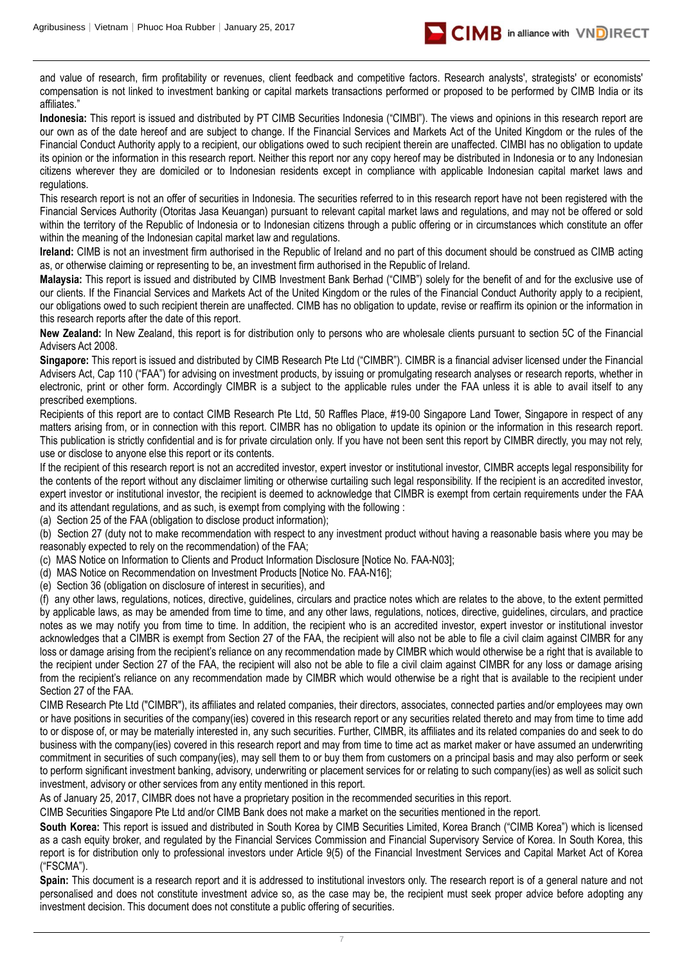

and value of research, firm profitability or revenues, client feedback and competitive factors. Research analysts', strategists' or economists' compensation is not linked to investment banking or capital markets transactions performed or proposed to be performed by CIMB India or its affiliates."

**Indonesia:** This report is issued and distributed by PT CIMB Securities Indonesia ("CIMBI"). The views and opinions in this research report are our own as of the date hereof and are subject to change. If the Financial Services and Markets Act of the United Kingdom or the rules of the Financial Conduct Authority apply to a recipient, our obligations owed to such recipient therein are unaffected. CIMBI has no obligation to update its opinion or the information in this research report. Neither this report nor any copy hereof may be distributed in Indonesia or to any Indonesian citizens wherever they are domiciled or to Indonesian residents except in compliance with applicable Indonesian capital market laws and regulations.

This research report is not an offer of securities in Indonesia. The securities referred to in this research report have not been registered with the Financial Services Authority (Otoritas Jasa Keuangan) pursuant to relevant capital market laws and regulations, and may not be offered or sold within the territory of the Republic of Indonesia or to Indonesian citizens through a public offering or in circumstances which constitute an offer within the meaning of the Indonesian capital market law and regulations.

**Ireland:** CIMB is not an investment firm authorised in the Republic of Ireland and no part of this document should be construed as CIMB acting as, or otherwise claiming or representing to be, an investment firm authorised in the Republic of Ireland.

**Malaysia:** This report is issued and distributed by CIMB Investment Bank Berhad ("CIMB") solely for the benefit of and for the exclusive use of our clients. If the Financial Services and Markets Act of the United Kingdom or the rules of the Financial Conduct Authority apply to a recipient, our obligations owed to such recipient therein are unaffected. CIMB has no obligation to update, revise or reaffirm its opinion or the information in this research reports after the date of this report.

**New Zealand:** In New Zealand, this report is for distribution only to persons who are wholesale clients pursuant to section 5C of the Financial Advisers Act 2008.

**Singapore:** This report is issued and distributed by CIMB Research Pte Ltd ("CIMBR"). CIMBR is a financial adviser licensed under the Financial Advisers Act, Cap 110 ("FAA") for advising on investment products, by issuing or promulgating research analyses or research reports, whether in electronic, print or other form. Accordingly CIMBR is a subject to the applicable rules under the FAA unless it is able to avail itself to any prescribed exemptions.

Recipients of this report are to contact CIMB Research Pte Ltd, 50 Raffles Place, #19-00 Singapore Land Tower, Singapore in respect of any matters arising from, or in connection with this report. CIMBR has no obligation to update its opinion or the information in this research report. This publication is strictly confidential and is for private circulation only. If you have not been sent this report by CIMBR directly, you may not rely, use or disclose to anyone else this report or its contents.

If the recipient of this research report is not an accredited investor, expert investor or institutional investor, CIMBR accepts legal responsibility for the contents of the report without any disclaimer limiting or otherwise curtailing such legal responsibility. If the recipient is an accredited investor, expert investor or institutional investor, the recipient is deemed to acknowledge that CIMBR is exempt from certain requirements under the FAA and its attendant regulations, and as such, is exempt from complying with the following :

(a) Section 25 of the FAA (obligation to disclose product information);

(b) Section 27 (duty not to make recommendation with respect to any investment product without having a reasonable basis where you may be reasonably expected to rely on the recommendation) of the FAA;

(c) MAS Notice on Information to Clients and Product Information Disclosure [Notice No. FAA-N03];

(d) MAS Notice on Recommendation on Investment Products [Notice No. FAA-N16];

(e) Section 36 (obligation on disclosure of interest in securities), and

(f) any other laws, regulations, notices, directive, guidelines, circulars and practice notes which are relates to the above, to the extent permitted by applicable laws, as may be amended from time to time, and any other laws, regulations, notices, directive, guidelines, circulars, and practice notes as we may notify you from time to time. In addition, the recipient who is an accredited investor, expert investor or institutional investor acknowledges that a CIMBR is exempt from Section 27 of the FAA, the recipient will also not be able to file a civil claim against CIMBR for any loss or damage arising from the recipient's reliance on any recommendation made by CIMBR which would otherwise be a right that is available to the recipient under Section 27 of the FAA, the recipient will also not be able to file a civil claim against CIMBR for any loss or damage arising from the recipient's reliance on any recommendation made by CIMBR which would otherwise be a right that is available to the recipient under Section 27 of the FAA.

CIMB Research Pte Ltd ("CIMBR"), its affiliates and related companies, their directors, associates, connected parties and/or employees may own or have positions in securities of the company(ies) covered in this research report or any securities related thereto and may from time to time add to or dispose of, or may be materially interested in, any such securities. Further, CIMBR, its affiliates and its related companies do and seek to do business with the company(ies) covered in this research report and may from time to time act as market maker or have assumed an underwriting commitment in securities of such company(ies), may sell them to or buy them from customers on a principal basis and may also perform or seek to perform significant investment banking, advisory, underwriting or placement services for or relating to such company(ies) as well as solicit such investment, advisory or other services from any entity mentioned in this report.

As of January 25, 2017, CIMBR does not have a proprietary position in the recommended securities in this report.

CIMB Securities Singapore Pte Ltd and/or CIMB Bank does not make a market on the securities mentioned in the report.

**South Korea:** This report is issued and distributed in South Korea by CIMB Securities Limited, Korea Branch ("CIMB Korea") which is licensed as a cash equity broker, and regulated by the Financial Services Commission and Financial Supervisory Service of Korea. In South Korea, this report is for distribution only to professional investors under Article 9(5) of the Financial Investment Services and Capital Market Act of Korea ("FSCMA").

**Spain:** This document is a research report and it is addressed to institutional investors only. The research report is of a general nature and not personalised and does not constitute investment advice so, as the case may be, the recipient must seek proper advice before adopting any investment decision. This document does not constitute a public offering of securities.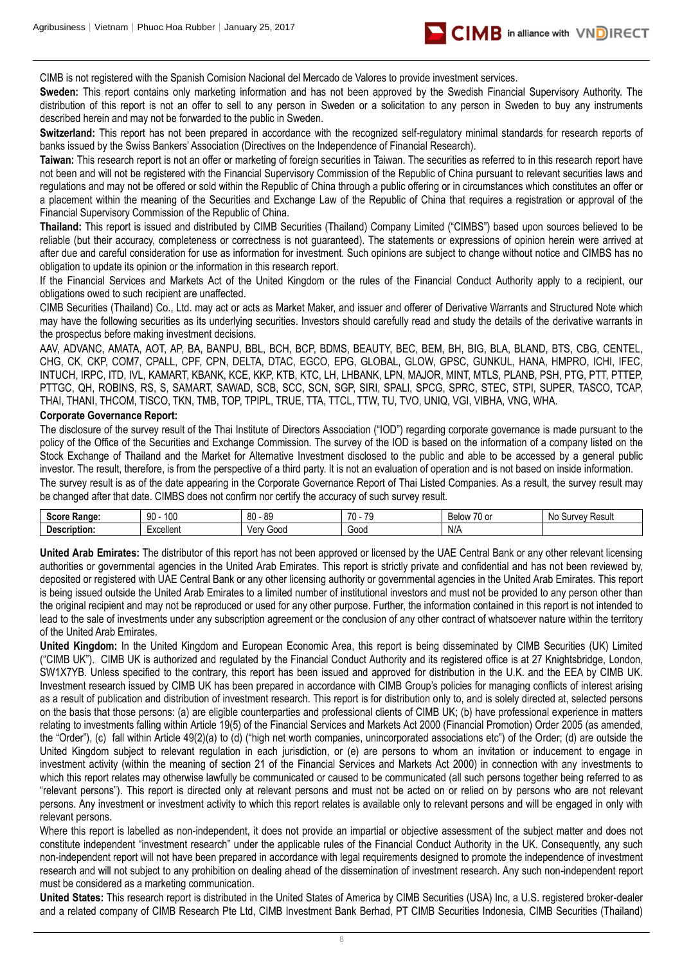

CIMB is not registered with the Spanish Comision Nacional del Mercado de Valores to provide investment services.

**Sweden:** This report contains only marketing information and has not been approved by the Swedish Financial Supervisory Authority. The distribution of this report is not an offer to sell to any person in Sweden or a solicitation to any person in Sweden to buy any instruments described herein and may not be forwarded to the public in Sweden.

Switzerland: This report has not been prepared in accordance with the recognized self-regulatory minimal standards for research reports of banks issued by the Swiss Bankers' Association (Directives on the Independence of Financial Research).

Taiwan: This research report is not an offer or marketing of foreign securities in Taiwan. The securities as referred to in this research report have not been and will not be registered with the Financial Supervisory Commission of the Republic of China pursuant to relevant securities laws and regulations and may not be offered or sold within the Republic of China through a public offering or in circumstances which constitutes an offer or a placement within the meaning of the Securities and Exchange Law of the Republic of China that requires a registration or approval of the Financial Supervisory Commission of the Republic of China.

**Thailand:** This report is issued and distributed by CIMB Securities (Thailand) Company Limited ("CIMBS") based upon sources believed to be reliable (but their accuracy, completeness or correctness is not guaranteed). The statements or expressions of opinion herein were arrived at after due and careful consideration for use as information for investment. Such opinions are subject to change without notice and CIMBS has no obligation to update its opinion or the information in this research report.

If the Financial Services and Markets Act of the United Kingdom or the rules of the Financial Conduct Authority apply to a recipient, our obligations owed to such recipient are unaffected.

CIMB Securities (Thailand) Co., Ltd. may act or acts as Market Maker, and issuer and offerer of Derivative Warrants and Structured Note which may have the following securities as its underlying securities. Investors should carefully read and study the details of the derivative warrants in the prospectus before making investment decisions.

AAV, ADVANC, AMATA, AOT, AP, BA, BANPU, BBL, BCH, BCP, BDMS, BEAUTY, BEC, BEM, BH, BIG, BLA, BLAND, BTS, CBG, CENTEL, CHG, CK, CKP, COM7, CPALL, CPF, CPN, DELTA, DTAC, EGCO, EPG, GLOBAL, GLOW, GPSC, GUNKUL, HANA, HMPRO, ICHI, IFEC, INTUCH, IRPC, ITD, IVL, KAMART, KBANK, KCE, KKP, KTB, KTC, LH, LHBANK, LPN, MAJOR, MINT, MTLS, PLANB, PSH, PTG, PTT, PTTEP, PTTGC, QH, ROBINS, RS, S, SAMART, SAWAD, SCB, SCC, SCN, SGP, SIRI, SPALI, SPCG, SPRC, STEC, STPI, SUPER, TASCO, TCAP, THAI, THANI, THCOM, TISCO, TKN, TMB, TOP, TPIPL, TRUE, TTA, TTCL, TTW, TU, TVO, UNIQ, VGI, VIBHA, VNG, WHA.

### **Corporate Governance Report:**

The disclosure of the survey result of the Thai Institute of Directors Association ("IOD") regarding corporate governance is made pursuant to the policy of the Office of the Securities and Exchange Commission. The survey of the IOD is based on the information of a company listed on the Stock Exchange of Thailand and the Market for Alternative Investment disclosed to the public and able to be accessed by a general public investor. The result, therefore, is from the perspective of a third party. It is not an evaluation of operation and is not based on inside information.

The survey result is as of the date appearing in the Corporate Governance Report of Thai Listed Companies. As a result, the survey result may be changed after that date. CIMBS does not confirm nor certify the accuracy of such survey result.

| $S_{max}$<br>----<br>Rande | 100<br>۵n<br>1 U U<br>JU | .on<br>or<br>೦೭<br>υv | 70<br>$\rightarrow$<br>. | $\sim$ $\sim$<br>Beld<br>$\cdot$ $\sim$<br>эw<br>ו טש | Resul<br><b>NIC</b><br><b>INAV</b> |
|----------------------------|--------------------------|-----------------------|--------------------------|-------------------------------------------------------|------------------------------------|
| Dе<br>IDIION:              | Excellent                | Gooc<br>Ver           | Goog                     | N/A                                                   |                                    |

**United Arab Emirates:** The distributor of this report has not been approved or licensed by the UAE Central Bank or any other relevant licensing authorities or governmental agencies in the United Arab Emirates. This report is strictly private and confidential and has not been reviewed by, deposited or registered with UAE Central Bank or any other licensing authority or governmental agencies in the United Arab Emirates. This report is being issued outside the United Arab Emirates to a limited number of institutional investors and must not be provided to any person other than the original recipient and may not be reproduced or used for any other purpose. Further, the information contained in this report is not intended to lead to the sale of investments under any subscription agreement or the conclusion of any other contract of whatsoever nature within the territory of the United Arab Emirates.

**United Kingdom:** In the United Kingdom and European Economic Area, this report is being disseminated by CIMB Securities (UK) Limited ("CIMB UK"). CIMB UK is authorized and regulated by the Financial Conduct Authority and its registered office is at 27 Knightsbridge, London, SW1X7YB. Unless specified to the contrary, this report has been issued and approved for distribution in the U.K. and the EEA by CIMB UK. Investment research issued by CIMB UK has been prepared in accordance with CIMB Group's policies for managing conflicts of interest arising as a result of publication and distribution of investment research. This report is for distribution only to, and is solely directed at, selected persons on the basis that those persons: (a) are eligible counterparties and professional clients of CIMB UK; (b) have professional experience in matters relating to investments falling within Article 19(5) of the Financial Services and Markets Act 2000 (Financial Promotion) Order 2005 (as amended, the "Order"), (c) fall within Article 49(2)(a) to (d) ("high net worth companies, unincorporated associations etc") of the Order; (d) are outside the United Kingdom subject to relevant regulation in each jurisdiction, or (e) are persons to whom an invitation or inducement to engage in investment activity (within the meaning of section 21 of the Financial Services and Markets Act 2000) in connection with any investments to which this report relates may otherwise lawfully be communicated or caused to be communicated (all such persons together being referred to as "relevant persons"). This report is directed only at relevant persons and must not be acted on or relied on by persons who are not relevant persons. Any investment or investment activity to which this report relates is available only to relevant persons and will be engaged in only with relevant persons.

Where this report is labelled as non-independent, it does not provide an impartial or objective assessment of the subject matter and does not constitute independent "investment research" under the applicable rules of the Financial Conduct Authority in the UK. Consequently, any such non-independent report will not have been prepared in accordance with legal requirements designed to promote the independence of investment research and will not subject to any prohibition on dealing ahead of the dissemination of investment research. Any such non-independent report must be considered as a marketing communication.

**United States:** This research report is distributed in the United States of America by CIMB Securities (USA) Inc, a U.S. registered broker-dealer and a related company of CIMB Research Pte Ltd, CIMB Investment Bank Berhad, PT CIMB Securities Indonesia, CIMB Securities (Thailand)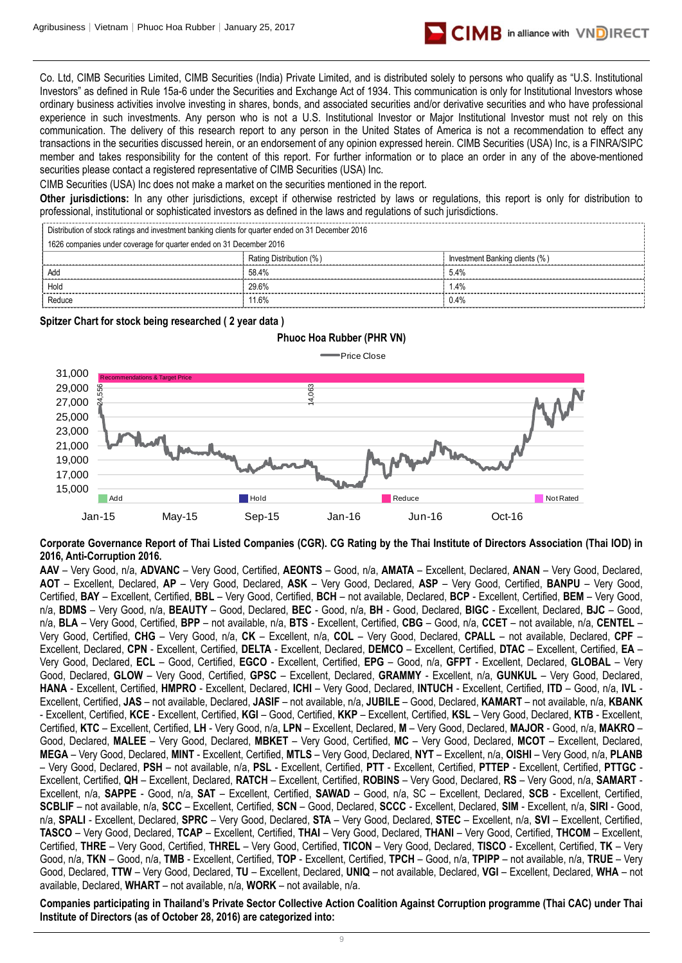

Co. Ltd, CIMB Securities Limited, CIMB Securities (India) Private Limited, and is distributed solely to persons who qualify as "U.S. Institutional Investors" as defined in Rule 15a-6 under the Securities and Exchange Act of 1934. This communication is only for Institutional Investors whose ordinary business activities involve investing in shares, bonds, and associated securities and/or derivative securities and who have professional experience in such investments. Any person who is not a U.S. Institutional Investor or Major Institutional Investor must not rely on this communication. The delivery of this research report to any person in the United States of America is not a recommendation to effect any transactions in the securities discussed herein, or an endorsement of any opinion expressed herein. CIMB Securities (USA) Inc, is a FINRA/SIPC member and takes responsibility for the content of this report. For further information or to place an order in any of the above-mentioned securities please contact a registered representative of CIMB Securities (USA) Inc.

CIMB Securities (USA) Inc does not make a market on the securities mentioned in the report.

**Other jurisdictions:** In any other jurisdictions, except if otherwise restricted by laws or regulations, this report is only for distribution to professional, institutional or sophisticated investors as defined in the laws and regulations of such jurisdictions.

| Distribution of stock ratings and investment banking clients for quarter ended on 31 December 2016 |                         |                                |  |  |
|----------------------------------------------------------------------------------------------------|-------------------------|--------------------------------|--|--|
| 1626 companies under coverage for quarter ended on 31 December 2016                                |                         |                                |  |  |
|                                                                                                    | Rating Distribution (%) | Investment Banking clients (%) |  |  |
| Add                                                                                                | 58.4%                   | 5.4%                           |  |  |
| Hold                                                                                               | 29.6%                   | $1.4\%$                        |  |  |
| Reduce                                                                                             | 11.6%                   | $0.4\%$                        |  |  |

**Spitzer Chart for stock being researched ( 2 year data )** 

## **Phuoc Hoa Rubber (PHR VN)**

Price Close



**Corporate Governance Report of Thai Listed Companies (CGR). CG Rating by the Thai Institute of Directors Association (Thai IOD) in 2016, Anti-Corruption 2016.**

**AAV** – Very Good, n/a, **ADVANC** – Very Good, Certified, **AEONTS** – Good, n/a, **AMATA** – Excellent, Declared, **ANAN** – Very Good, Declared, **AOT** – Excellent, Declared, **AP** – Very Good, Declared, **ASK** – Very Good, Declared, **ASP** – Very Good, Certified, **BANPU** – Very Good, Certified, **BAY** – Excellent, Certified, **BBL** – Very Good, Certified, **BCH** – not available, Declared, **BCP** - Excellent, Certified, **BEM** – Very Good, n/a, **BDMS** – Very Good, n/a, **BEAUTY** – Good, Declared, **BEC** - Good, n/a, **BH** - Good, Declared, **BIGC** - Excellent, Declared, **BJC** – Good, n/a, **BLA** – Very Good, Certified, **BPP** – not available, n/a, **BTS** - Excellent, Certified, **CBG** – Good, n/a, **CCET** – not available, n/a, **CENTEL** – Very Good, Certified, **CHG** – Very Good, n/a, **CK** – Excellent, n/a, **COL** – Very Good, Declared, **CPALL** – not available, Declared, **CPF** – Excellent, Declared, **CPN** - Excellent, Certified, **DELTA** - Excellent, Declared, **DEMCO** – Excellent, Certified, **DTAC** – Excellent, Certified, **EA** – Very Good, Declared, **ECL** – Good, Certified, **EGCO** - Excellent, Certified, **EPG** – Good, n/a, **GFPT** - Excellent, Declared, **GLOBAL** – Very Good, Declared, **GLOW** – Very Good, Certified, **GPSC** – Excellent, Declared, **GRAMMY** - Excellent, n/a, **GUNKUL** – Very Good, Declared, **HANA** - Excellent, Certified, **HMPRO** - Excellent, Declared, **ICHI** – Very Good, Declared, **INTUCH** - Excellent, Certified, **ITD** – Good, n/a, **IVL** - Excellent, Certified, **JAS** – not available, Declared, **JASIF** – not available, n/a, **JUBILE** – Good, Declared, **KAMART** – not available, n/a, **KBANK** - Excellent, Certified, **KCE** - Excellent, Certified, **KGI** – Good, Certified, **KKP** – Excellent, Certified, **KSL** – Very Good, Declared, **KTB** - Excellent, Certified, **KTC** – Excellent, Certified, **LH** - Very Good, n/a, **LPN** – Excellent, Declared, **M** – Very Good, Declared, **MAJOR** - Good, n/a, **MAKRO** – Good, Declared, **MALEE** – Very Good, Declared, **MBKET** – Very Good, Certified, **MC** – Very Good, Declared, **MCOT** – Excellent, Declared, **MEGA** – Very Good, Declared, **MINT** - Excellent, Certified, **MTLS** – Very Good, Declared, **NYT** – Excellent, n/a, **OISHI** – Very Good, n/a, **PLANB** – Very Good, Declared, **PSH** – not available, n/a, **PSL** - Excellent, Certified, **PTT** - Excellent, Certified, **PTTEP** - Excellent, Certified, **PTTGC** - Excellent, Certified, **QH** – Excellent, Declared, **RATCH** – Excellent, Certified, **ROBINS** – Very Good, Declared, **RS** – Very Good, n/a, **SAMART** - Excellent, n/a, **SAPPE** - Good, n/a, **SAT** – Excellent, Certified, **SAWAD** – Good, n/a, SC – Excellent, Declared, **SCB** - Excellent, Certified, **SCBLIF** – not available, n/a, **SCC** – Excellent, Certified, **SCN** – Good, Declared, **SCCC** - Excellent, Declared, **SIM** - Excellent, n/a, **SIRI** - Good, n/a, **SPALI** - Excellent, Declared, **SPRC** – Very Good, Declared, **STA** – Very Good, Declared, **STEC** – Excellent, n/a, **SVI** – Excellent, Certified, **TASCO** – Very Good, Declared, **TCAP** – Excellent, Certified, **THAI** – Very Good, Declared, **THANI** – Very Good, Certified, **THCOM** – Excellent, Certified, **THRE** – Very Good, Certified, **THREL** – Very Good, Certified, **TICON** – Very Good, Declared, **TISCO** - Excellent, Certified, **TK** – Very Good, n/a, **TKN** – Good, n/a, **TMB** - Excellent, Certified, **TOP** - Excellent, Certified, **TPCH** – Good, n/a, **TPIPP** – not available, n/a, **TRUE** – Very Good, Declared, **TTW** – Very Good, Declared, **TU** – Excellent, Declared, **UNIQ** – not available, Declared, **VGI** – Excellent, Declared, **WHA** – not available, Declared, **WHART** – not available, n/a, **WORK** – not available, n/a. **Institute of Directors (as of October 28, 2016)**<br>
Institute of Distribution of Distribution of Distribution of Distribution (% )<br>
Institute of Distribution of Distribution (% )<br>
Institute of Distribution (% ) Institute of

**Companies participating in Thailand's Private Sector Collective Action Coalition Against Corruption programme (Thai CAC) under Thai**